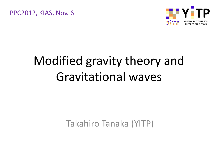PPC2012, KIAS, Nov. 6



# Modified gravity theory and Gravitational waves

Takahiro Tanaka (YITP)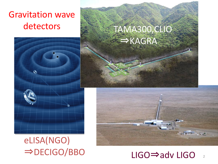#### Gravitation wave detectors







### eLISA(NGO) ⇒DECIGO/BBO LIGO⇒adv LIGO

#### 2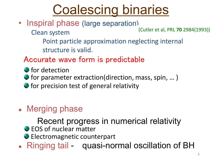# Coalescing binaries

- Inspiral phase (large separation)
	- Clean system (Cutler et al, PRL **70** 2984(1993))

 Point particle approximation neglecting internal structure is valid.

#### Accurate wave form is predictable

 $\bullet$  for precision test of general relativity **o** for detection **for parameter extraction(direction, mass, spin, ...)** 

#### • Merging phase

 Recent progress in numerical relativity **EOS** of nuclear matter Electromagnetic counterpart

• Ringing tail - quasi-normal oscillation of BH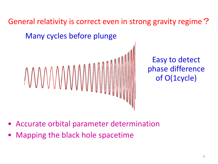Many cycles before plunge General relativity is correct even in strong gravity regime?



Easy to detect phase difference of O(1cycle)

- Accurate orbital parameter determination
- Mapping the black hole spacetime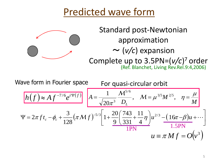### Predicted wave form



Standard post-Newtonian approximation  $\sim$  ( $v/c$ ) expansion Complete up to 3.5PN=(v/c)<sup>7</sup> order (Ref. Blanchet, Living Rev.Rel.9:4,2006)

Wave form in Fourier space

For quasi-circular orbit

$$
h(f) \approx Af^{-7/6}e^{i\Psi(f)} \left[ A = \frac{1}{\sqrt{20\pi^3}} \frac{M^{5/6}}{D_L}, \quad M = \mu^{3/5}M^{2/5}, \quad \eta = \frac{\mu}{M} \right]
$$
  

$$
\Psi = 2\pi ft_c - \phi_c + \frac{3}{128} (\pi M f)^{-5/3} \left[ 1 + \frac{20}{9} \left( \frac{743}{331} + \frac{11}{4} \eta \right) u^{2/3} - \frac{(16\pi - \beta)u}{1.5\text{PN}} + \cdots \right]
$$
  

$$
u \equiv \pi M f = O(v^3)
$$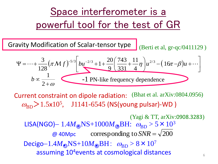## Space interferometer is a powerful tool for the test of GR

Gravity Modification of Scalar-tensor type (Berti et al, gr-qc/0411129 )

$$
\Psi = \cdots + \frac{3}{128} (\pi M f)^{-5/3} \left[ b u^{-2/3} + 1 + \frac{20}{9} \left( \frac{743}{331} + \frac{11}{4} \eta \right) u^{2/3} - (16\pi - \beta) u + \cdots \right]
$$
  

$$
b \propto \frac{1}{2 + \omega}
$$
 - 1 PN-like frequency dependence

Current constraint on dipole radiation: (Bhat et al. arXiv:0804.0956) $\omega_{\text{BD}}$  > 1.5x10<sup>5</sup>, J1141-6545 (NS(young pulsar)-WD)

LISA(NGO) – 1.4 $M_{\odot}$ NS+1000 $M_{\odot}$ BH:  $\omega_{\text{BD}}$  > 5 × 10<sup>3</sup> Decigo-1.4 $M_{\odot}$ NS+10 $M_{\odot}$ BH:  $\omega_{\rm BD} > 8 \times 10^{7}$  assuming 10 <sup>4</sup>events at cosmological distances  $\omega$  40Mpc corresponding to *SNR* =  $\sqrt{200}$ (Yagi & TT, arXiv:0908.3283)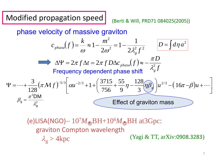Modified propagation speed

(Berti & Will, PRD71 084025(2005))

phase velocity of massive graviton

$$
c_{phase}(f) = \frac{k}{\omega} \approx 1 - \frac{m^2}{2\omega^2} = 1 - \frac{1}{2\lambda_g^2 f^2}
$$
  
\n
$$
\Delta \Psi = 2\pi f \Delta t = 2\pi f D \Delta c_{phase}(f) \approx -\frac{\pi D}{\lambda_g^2 f}
$$
  
\nFrequency dependent phase shift  
\n
$$
\Psi = \dots + \frac{3}{128} (\pi M f)^{-5/3} \left[ \alpha u^{-2/3} + 1 + \left( \frac{3715}{756} + \frac{55}{9} \eta - \frac{128}{3} \eta \beta_g \right) u^{2/3} - (16\pi - \beta) u + \dots \right]
$$
  
\n
$$
\beta_g = \frac{\pi^2 D M}{\lambda_g^2}
$$
  
\nEffect of graviton mass

(Yagi & TT, arXiv:0908.3283) (e)LISA(NGO)- 10<sup>7</sup>*M*<sub>®</sub>BH+10<sup>6</sup>*M*<sub>®</sub>BH at3Gpc: graviton Compton wavelength  $\lambda_{\rm g} > 4 \, \text{kpc}$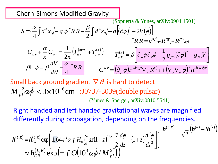Chern-Simons Modified Gravity

(Sopuerta & Yunes, arXiv:0904.4501)

$$
S \supset \frac{\alpha}{4} \int d^4x \sqrt{-g} \phi^* R R - \frac{\beta}{2} \int d^4x \sqrt{-g} \left[ (\partial \phi)^2 + 2V(\phi) \right]
$$
  

$$
{}^* R R = \varepsilon^{\alpha \beta} {}_{\alpha \chi} R^{\alpha \chi}{}_{\mu \nu} R^{\mu \nu}{}_{\alpha \beta}
$$
  

$$
G_{\mu \nu} + \frac{\alpha}{2} C_{\mu \nu} = \frac{1}{2} \left( T^{(mat)} + T^{(\phi)} \right) \qquad T^{(\phi)} \qquad \rho \left[ \frac{\alpha}{2} + 2 \left( \frac{\alpha}{2} \right) \right] \qquad \frac{1}{2} \qquad \frac{1}{2} \qquad \frac{1}{2} \qquad \frac{1}{2} \qquad \frac{1}{2} \qquad \frac{1}{2} \qquad \frac{1}{2} \qquad \frac{1}{2} \qquad \frac{1}{2} \qquad \frac{1}{2} \qquad \frac{1}{2} \qquad \frac{1}{2} \qquad \frac{1}{2} \qquad \frac{1}{2} \qquad \frac{1}{2} \qquad \frac{1}{2} \qquad \frac{1}{2} \qquad \frac{1}{2} \qquad \frac{1}{2} \qquad \frac{1}{2} \qquad \frac{1}{2} \qquad \frac{1}{2} \qquad \frac{1}{2} \qquad \frac{1}{2} \qquad \frac{1}{2} \qquad \frac{1}{2} \qquad \frac{1}{2} \qquad \frac{1}{2} \qquad \frac{1}{2} \qquad \frac{1}{2} \qquad \frac{1}{2} \qquad \frac{1}{2} \qquad \frac{1}{2} \qquad \frac{1}{2} \qquad \frac{1}{2} \qquad \frac{1}{2} \qquad \frac{1}{2} \qquad \frac{1}{2} \qquad \frac{1}{2} \qquad \frac{1}{2} \qquad \frac{1}{2} \qquad \frac{1}{2} \qquad \frac{1}{2} \qquad \frac{1}{2} \qquad \frac{1}{2} \qquad \frac{1}{2} \qquad \frac{1}{2} \qquad \frac{1}{2} \qquad \frac{1}{2} \qquad \frac{1}{2} \qquad \frac{1}{2} \qquad \frac{1}{2} \qquad \frac{1}{2} \qquad \frac
$$

$$
G_{\mu\nu} + \frac{\alpha}{\kappa} C_{\mu\nu} = \frac{1}{2\kappa} \left( T_{\mu\nu}^{(mat)} + T_{\mu\nu}^{(\phi)} \right) \qquad T_{\mu\nu}^{(\phi)} = \beta \left[ \partial_{\mu} \phi \partial_{\nu} \phi - \frac{1}{2} g_{\mu\nu} (\partial \phi)^2 - g_{\mu\nu} V \right]
$$

$$
\beta \Box \phi = \beta \frac{dV}{d\theta} - \frac{\alpha}{4} \, ^*RR \qquad C^{\mu\nu} = \left( \partial_{\nu} \phi \right) \varepsilon^{\gamma \delta \varepsilon (\mu} \nabla_{\varepsilon} R^{\nu)} \delta + \left( \nabla_{\nu} \nabla_{\delta} \phi \right)^* R^{\delta (\mu \nu) \gamma}
$$

(Yunes & Spergel, arXiv:0810.5541)  $|M_{pl}^{-2}\alpha\dot{\phi}| < 3 \times 10^{-6}$  cm : J0737-3039(double pulsar) Small back ground gradient  $\nabla \theta$  is hard to detect

Right handed and left handed gravitational waves are magnified differently during propagation, depending on the frequencies.

$$
\boldsymbol{h}^{(L,R)} = \boldsymbol{h}_{GR}^{(L,R)} \exp\left(\pm 64\pi^2 \alpha f H_0 \int_0^z dz (1+z)^{5/2} \left[ \frac{7}{2} \frac{d\phi}{dz} + (1+z) \frac{d^2 \phi}{dz^2} \right] \right) \boldsymbol{h}^{(L,R)} = \frac{1}{\sqrt{2}} (\boldsymbol{h}^{(+)} + i \boldsymbol{h}^{(\times)})
$$

$$
\approx \boldsymbol{h}_{GR}^{(L,R)} \exp\left(\pm f O(10^3 \alpha \dot{\phi} / M_{pl}^2)\right)
$$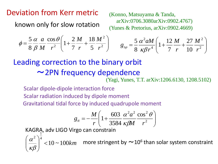#### Deviation from Kerr metric (Konno, Matsuyama & Tanda,

known only for slow rotation

 arXiv:0706.3080arXiv:0902.4767) (Yunes & Pretorius, arXiv:0902.4669)

$$
\phi = \frac{5}{8} \frac{\alpha}{\beta} \frac{a}{M} \frac{\cos \theta}{r^2} \left( 1 + \frac{2}{7} \frac{M}{r} + \frac{18}{5} \frac{M^2}{r^2} \right) \qquad g_{t\varphi} = \frac{5}{8} \frac{\alpha^2 a M}{\kappa \beta r^4} \left( 1 + \frac{12}{7} \frac{M}{r} + \frac{27}{10} \frac{M^2}{r^2} \right)
$$

Leading correction to the binary orbit ~2PN frequency dependence

(Yagi, Yunes, T.T. arXiv:1206.6130, 1208.5102)

Scalar dipole-dipole interaction force Gravitational tidal force by induced quadrupole moment Scalar radiation induced by dipole moment

$$
g_{tt} = -\frac{M}{r} \left( 1 + \frac{603}{3584} \frac{\alpha^2 a^2}{\kappa \beta M} \frac{\cos^2 \theta}{r^2} \right)
$$

KAGRĄ, adv LIGO Virgo can constrain

10 ~ 100*km* 2  $\sqrt{4}$  $\Big\vert$  $\int$  $\backslash$  $\overline{\phantom{a}}$  $\overline{\phantom{a}}$  $\setminus$  $\bigg($  $\kappa\beta$  $\frac{\alpha^-}{\alpha^-} \Big|^4 <$  10 ~ 100 $km$  more stringent by  $\sim$  10<sup>6</sup> than solar system constraint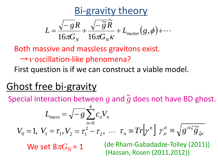$$
\frac{\text{Bi-gravity theory}}{16\pi G_N} + \frac{\sqrt{-\tilde{g}}\tilde{R}}{16\pi G_N\kappa} + L_{matter}(g, \phi) + \cdots
$$

Both massive and massless gravitons exist.

 $\rightarrow$  v oscillation-like phenomena?

First question is if we can construct a viable model.

## Ghost free bi-gravity

Special interaction between  $g$  and  $\tilde{g}$  does not have BD ghost.

$$
L_{mass} = \sqrt{-g} \sum_{n=0}^{4} c_n V_n
$$
  

$$
V_0 = 1, V_1 = \tau_1, V_2 = \tau_1^2 - \tau_2, \dots \tau_n \equiv Tr[\gamma^n] \gamma_n^{\alpha} \equiv \sqrt{g^{\alpha \xi} \widetilde{g}_{\xi\mu}}
$$

We set  $8\pi G_N$  = 1

(Hassan, Rosen (2011,2012)) (de Rham-Gabadadze-Tolley (2011))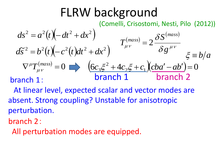# FLRW background

(Comelli, Crisostomi, Nesti, Pilo (2012))

$$
ds^{2} = a^{2}(t)(-dt^{2} + dx^{2})
$$
  
\n
$$
d\tilde{s}^{2} = b^{2}(t)(-c^{2}(t)dt^{2} + dx^{2})
$$
  
\n
$$
\nabla^{\mu}T_{\mu\nu}^{(mass)} = 0
$$
  
\n
$$
\nabla^{\mu}T_{\mu\nu}^{(mass)} = 0
$$
  
\n
$$
\begin{array}{ccc}\n&\left(6c_{3}\xi^{2} + 4c_{2}\xi + c_{1}\right)\left(cba' - ab'\right) = 0\\
&\text{branch 1:} &\text{branch 2}\n\end{array}
$$

At linear level, expected scalar and vector modes are absent. Strong coupling? Unstable for anisotropic perturbation.

branch 2:

All perturbation modes are equipped.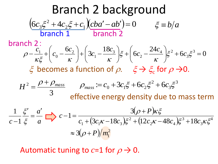**Branch 2 background**  
\n
$$
\frac{(6c_3\xi^2 + 4c_2\xi + c_1)(cba' - ab')}{branch 1} = 0 \qquad \xi = b/a
$$
\nbranch 2:  
\n
$$
\rho - \frac{c_1}{\kappa\xi} + \left(c_0 - \frac{6c_2}{\kappa}\right) + \left(3c_1 - \frac{18c_3}{\kappa}\right)\xi + \left(6c_2 - \frac{24c_4}{\kappa}\right)\xi^2 + 6c_3\xi^3 = 0
$$
\n
$$
\xi
$$
 becomes a function of  $\rho$ .  $\xi \to \xi_c$  for  $\rho \to 0$ .  
\n
$$
H^2 = \frac{\rho + \rho_{mass}}{3} \qquad \rho_{mass} := c_0 + 3c_1\xi + 6c_2\xi^2 + 6c_3\xi^3
$$
\neffective energy density due to mass term  
\n
$$
\frac{1}{c-1}\frac{\xi'}{\xi} = \frac{a'}{a} \Longrightarrow c-1 = \frac{3(\rho + P)\kappa\xi}{c_1 + (3c_1\kappa - 18c_3)\xi^2 + (12c_2\kappa - 48c_4)\xi^3 + 18c_3\kappa\xi^4}
$$
\n
$$
\approx 3(\rho + P)/m_1^2
$$
\n
$$
\text{Automatic tuning to } c = 1 \text{ for } \rho \to 0.
$$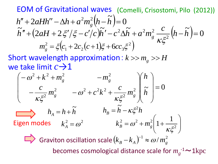**EOM of Gravitational waves** (Comelli, Crisostomi, Pilo (2012))  
\n
$$
h'' + 2aHh'' - \Delta h + a^2 m_g^2 (h - \tilde{h}) = 0
$$
\n
$$
\tilde{h}'' + (2aH + 2\xi')\xi - c'/c)\tilde{h}' - c^2\Delta \tilde{h} + a^2 m_g^2 \frac{c}{\kappa \xi^2} (h - \tilde{h}) = 0
$$
\n
$$
m_g^2 = \xi (c_1 + 2c_2(c+1)\xi + 6cc_3\xi^2)
$$

we take limit *c* → 1 Short wavelength approximation:  $k >> m_{g} >> H$ 

$$
\begin{pmatrix}\n-\omega^2 + k^2 + m_g^2 & -m_g^2 \\
\frac{c}{\kappa \xi^2} m_g^2 & -\omega^2 + c^2 k^2 + \frac{c}{\kappa \xi^2} m_g^2\n\end{pmatrix}\n\begin{pmatrix}\nh \\
\hline\nh\n\end{pmatrix} = 0
$$
\n
$$
h_A = h + \tilde{h} \qquad h_B = \tilde{h} - \kappa \xi^2 h
$$
\nEigen modes  $k_A^2 = \omega^2 \qquad k_B^2 = \omega^2 + m_g^2 \left(1 + \frac{1}{\kappa \xi^2}\right)$ \n
$$
\Rightarrow \text{Graviton oscillation scale } (k_B - k_A)^{-1} \approx \omega / m_g^2
$$
\nbecomes cosmological distance scale for  $m_g^{-1} \sim 1 \text{kpc}$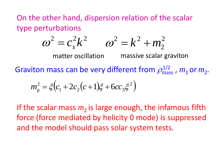On the other hand, dispersion relation of the scalar type perturbations

$$
\omega^2 = c_s^2 k^2 \qquad \omega^2 = k^2 + m_2^2
$$

matter oscillation massive scalar graviton

Graviton mass can be very different from  $\rho_{\rm mass}^{1/2}$ ,  $m_1$  or  $m_2$ .

$$
m_g^2 = \xi \Big( c_1 + 2c_2 \big( c + 1 \big) \xi + 6c c_3 \xi^2 \Big)
$$

If the scalar mass  $m<sub>2</sub>$  is large enough, the infamous fifth force (force mediated by helicity 0 mode) is suppressed and the model should pass solar system tests.